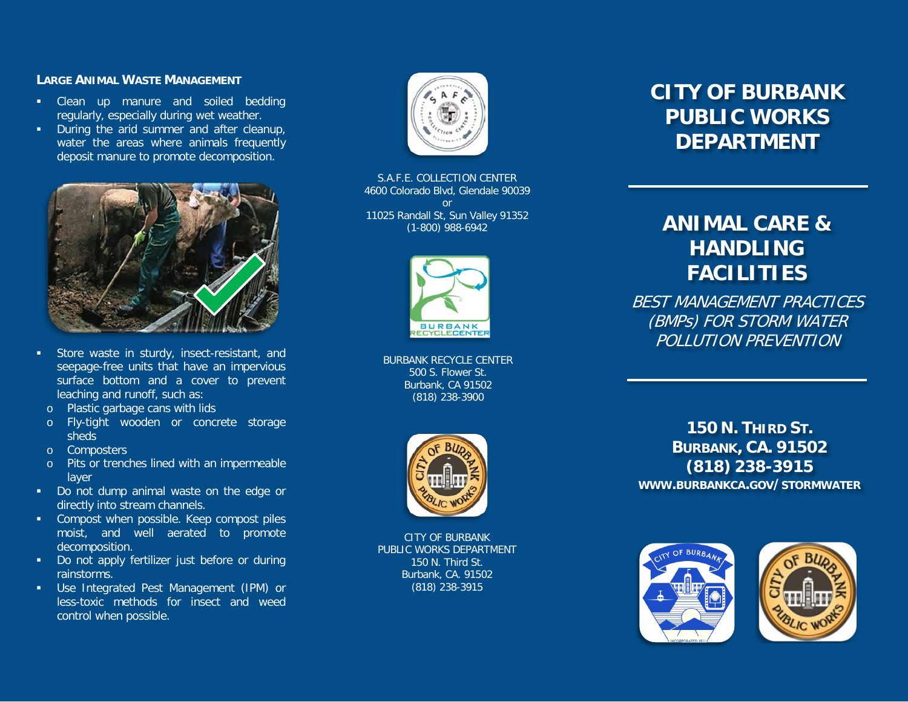### **LARGE ANIMAL WASTE MANAGEMENT**

- **EXECLE** Clean up manure and soiled bedding regularly, especially during wet weather.
- **•** During the arid summer and after cleanup, water the areas where animals frequently deposit manure to promote decomposition.



- **Store waste in sturdy, insect-resistant, and** seepage -free units that have an impervious surface bottom and a cover to prevent leaching and runoff, such as:
- o Plastic garbage cans with lids
- o Fly-tight wooden or concrete storage sheds
- o Composters
- o Pits or trenches lined with an impermeable layer
- Do not dump animal waste on the edge or directly into stream channels.
- **EXECOMPOST When possible. Keep compost piles** moist, and well aerated to promote decomposition.
- Do not apply fertilizer just before or during rainstorms.
- Use Integrated Pest Management (IPM) or less -toxic methods for insect and weed control when possible.



S.A.F.E. COLLECTION CENTER 4600 Colorado Blvd, Glendale 90039 or 11025 Randall St, Sun Valley 91352 (1 -800) 988 -6942



BURBANK RECYCLE CENTER 500 S. Flower St. Burbank, CA 91502 (818) 238 -3900



CITY OF BURBANK PUBLIC WORKS DEPARTMENT 150 N. Third St. Burbank, CA. 91502 (818) 238 -3915

# **CITY OF BURBANK PUBLIC WORKS DEPARTMENT**

# **ANIMAL CARE & HANDLING FACILITIES**

BEST MANAGEMENT PRACTICES (BMPs) FOR STORM WATER POLLUTION PREVENTION

**150 N. THIRD S T . BURBANK , CA. 91502 (818) 238 -3915 WWW .BURBANKCA .GOV /STORMWATER**